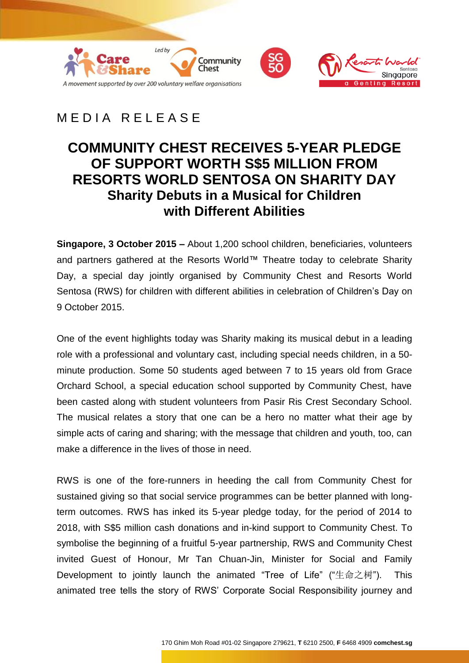



# MEDIA RELEASE

## **COMMUNITY CHEST RECEIVES 5-YEAR PLEDGE OF SUPPORT WORTH S\$5 MILLION FROM RESORTS WORLD SENTOSA ON SHARITY DAY Sharity Debuts in a Musical for Children with Different Abilities**

**Singapore, 3 October 2015 –** About 1,200 school children, beneficiaries, volunteers and partners gathered at the Resorts World™ Theatre today to celebrate Sharity Day, a special day jointly organised by Community Chest and Resorts World Sentosa (RWS) for children with different abilities in celebration of Children's Day on 9 October 2015.

One of the event highlights today was Sharity making its musical debut in a leading role with a professional and voluntary cast, including special needs children, in a 50 minute production. Some 50 students aged between 7 to 15 years old from Grace Orchard School, a special education school supported by Community Chest, have been casted along with student volunteers from Pasir Ris Crest Secondary School. The musical relates a story that one can be a hero no matter what their age by simple acts of caring and sharing; with the message that children and youth, too, can make a difference in the lives of those in need.

RWS is one of the fore-runners in heeding the call from Community Chest for sustained giving so that social service programmes can be better planned with longterm outcomes. RWS has inked its 5-year pledge today, for the period of 2014 to 2018, with S\$5 million cash donations and in-kind support to Community Chest. To symbolise the beginning of a fruitful 5-year partnership, RWS and Community Chest invited Guest of Honour, Mr Tan Chuan-Jin, Minister for Social and Family Development to jointly launch the animated "Tree of Life" ("生命之树"). This animated tree tells the story of RWS' Corporate Social Responsibility journey and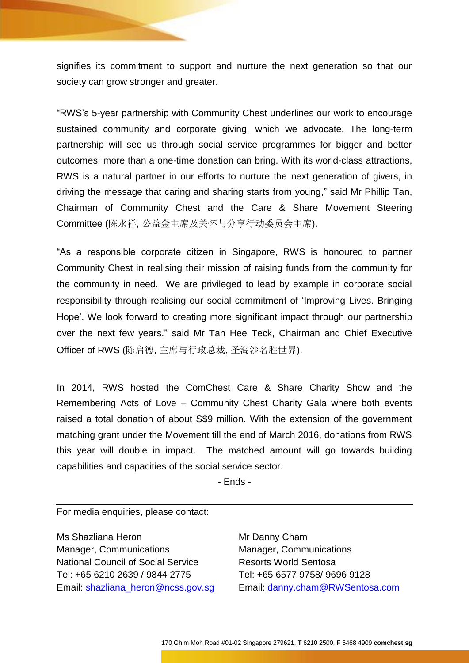signifies its commitment to support and nurture the next generation so that our society can grow stronger and greater.

"RWS's 5-year partnership with Community Chest underlines our work to encourage sustained community and corporate giving, which we advocate. The long-term partnership will see us through social service programmes for bigger and better outcomes; more than a one-time donation can bring. With its world-class attractions, RWS is a natural partner in our efforts to nurture the next generation of givers, in driving the message that caring and sharing starts from young," said Mr Phillip Tan, Chairman of Community Chest and the Care & Share Movement Steering Committee (陈永祥, 公益金主席及关怀与分享行动委员会主席).

"As a responsible corporate citizen in Singapore, RWS is honoured to partner Community Chest in realising their mission of raising funds from the community for the community in need. We are privileged to lead by example in corporate social responsibility through realising our social commitment of 'Improving Lives. Bringing Hope'. We look forward to creating more significant impact through our partnership over the next few years." said Mr Tan Hee Teck, Chairman and Chief Executive Officer of RWS (陈启德, 主席与行政总裁, 圣淘沙名胜世界).

In 2014, RWS hosted the ComChest Care & Share Charity Show and the Remembering Acts of Love – Community Chest Charity Gala where both events raised a total donation of about S\$9 million. With the extension of the government matching grant under the Movement till the end of March 2016, donations from RWS this year will double in impact. The matched amount will go towards building capabilities and capacities of the social service sector.

- Ends -

For media enquiries, please contact:

Ms Shazliana Heron Manager, Communications National Council of Social Service Tel: +65 6210 2639 / 9844 2775 Email: [shazliana\\_heron@ncss.gov.sg](mailto:shazliana_heron@ncss.gov.sg) Mr Danny Cham Manager, Communications Resorts World Sentosa Tel: +65 6577 9758/ 9696 9128 Email: [danny.cham@RWSentosa.com](mailto:danny.cham@RWSentosa.com)